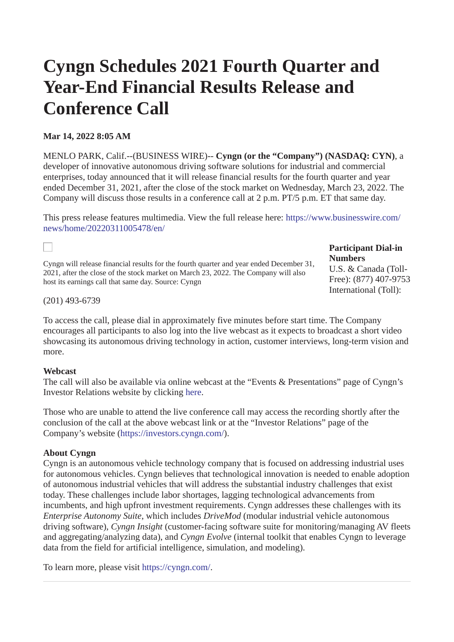# **Cyngn Schedules 2021 Fourth Quarter and Year-End Financial Results Release and Conference Call**

# **Mar 14, 2022 8:05 AM**

MENLO PARK, Calif.--(BUSINESS WIRE)-- **Cyngn (or the "Company") (NASDAQ: CYN)**, a developer of innovative autonomous driving software solutions for industrial and commercial enterprises, today announced that it will release financial results for the fourth quarter and year ended December 31, 2021, after the close of the stock market on Wednesday, March 23, 2022. The Company will discuss those results in a conference call at 2 p.m. PT/5 p.m. ET that same day.

This press release features multimedia. View the full release here: [https://www.businesswire.com/](https://www.businesswire.com/news/home/20220311005478/en/) [news/home/20220311005478/en/](https://www.businesswire.com/news/home/20220311005478/en/)

Cyngn will release financial results for the fourth quarter and year ended December 31, 2021, after the close of the stock market on March 23, 2022. The Company will also host its earnings call that same day. Source: Cyngn

### **Participant Dial-in Numbers**

U.S. & Canada (Toll-Free): (877) 407-9753 International (Toll):

(201) 493-6739

 $\Box$ 

To access the call, please dial in approximately five minutes before start time. The Company encourages all participants to also log into the live webcast as it expects to broadcast a short video showcasing its autonomous driving technology in action, customer interviews, long-term vision and more.

# **Webcast**

The call will also be available via online webcast at the "Events & Presentations" page of Cyngn's Investor Relations website by clicking [here](https://cts.businesswire.com/ct/CT?id=smartlink&url=https%3A%2F%2Finvestors.cyngn.com%2Fevents-presentations%2F%3Futm_campaign%3DPress%2520Releases%26utm_source%3Dpress%26utm_medium%3D3-14-2022-earnings%26utm_term%3Dinvestors.cyngn-events&esheet=52594072&newsitemid=20220311005478&lan=en-US&anchor=here&index=1&md5=f6353e34d0d8358a011601647fa6bfb5).

Those who are unable to attend the live conference call may access the recording shortly after the conclusion of the call at the above webcast link or at the "Investor Relations" page of the Company's website ([https://investors.cyngn.com/\)](https://cts.businesswire.com/ct/CT?id=smartlink&url=https%3A%2F%2Finvestors.cyngn.com%2F%3Futm_campaign%3DPress%2520Releases%26utm_source%3Dpress%26utm_medium%3D3-14-2022-earnings%26utm_term%3Dinvestors.cyngn&esheet=52594072&newsitemid=20220311005478&lan=en-US&anchor=https%3A%2F%2Finvestors.cyngn.com%2F&index=2&md5=d145e989889d343d379718b1a6add0c2).

# **About Cyngn**

Cyngn is an autonomous vehicle technology company that is focused on addressing industrial uses for autonomous vehicles. Cyngn believes that technological innovation is needed to enable adoption of autonomous industrial vehicles that will address the substantial industry challenges that exist today. These challenges include labor shortages, lagging technological advancements from incumbents, and high upfront investment requirements. Cyngn addresses these challenges with its *Enterprise Autonomy Suite*, which includes *DriveMod* (modular industrial vehicle autonomous driving software), *Cyngn Insight* (customer-facing software suite for monitoring/managing AV fleets and aggregating/analyzing data), and *Cyngn Evolve* (internal toolkit that enables Cyngn to leverage data from the field for artificial intelligence, simulation, and modeling).

To learn more, please visit [https://cyngn.com/.](https://cts.businesswire.com/ct/CT?id=smartlink&url=https%3A%2F%2Fcyngn.com%2F%3Futm_campaign%3DPress%2520Releases%26utm_source%3Dpress%26utm_medium%3D3-14-2022-earnings%26utm_term%3Dcyngn%2520hp&esheet=52594072&newsitemid=20220311005478&lan=en-US&anchor=https%3A%2F%2Fcyngn.com%2F&index=3&md5=87706fae40f18d934efb411dcd1696cf)